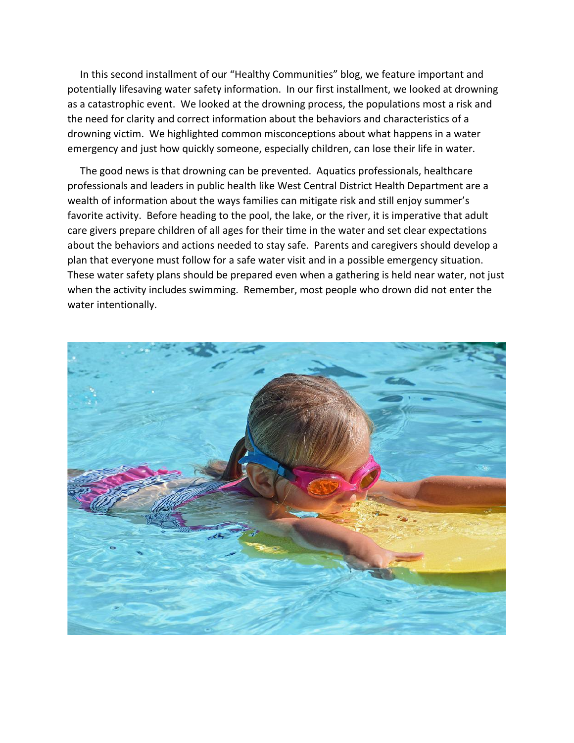In this second installment of our "Healthy Communities" blog, we feature important and potentially lifesaving water safety information. In our first installment, we looked at drowning as a catastrophic event. We looked at the drowning process, the populations most a risk and the need for clarity and correct information about the behaviors and characteristics of a drowning victim. We highlighted common misconceptions about what happens in a water emergency and just how quickly someone, especially children, can lose their life in water.

 The good news is that drowning can be prevented. Aquatics professionals, healthcare professionals and leaders in public health like West Central District Health Department are a wealth of information about the ways families can mitigate risk and still enjoy summer's favorite activity. Before heading to the pool, the lake, or the river, it is imperative that adult care givers prepare children of all ages for their time in the water and set clear expectations about the behaviors and actions needed to stay safe. Parents and caregivers should develop a plan that everyone must follow for a safe water visit and in a possible emergency situation. These water safety plans should be prepared even when a gathering is held near water, not just when the activity includes swimming. Remember, most people who drown did not enter the water intentionally.

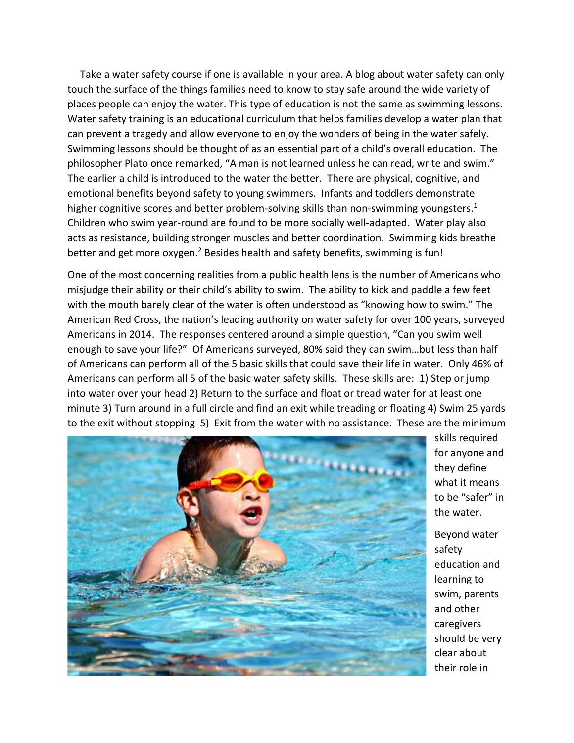Take a water safety course if one is available in your area. A blog about water safety can only touch the surface of the things families need to know to stay safe around the wide variety of places people can enjoy the water. This type of education is not the same as swimming lessons. Water safety training is an educational curriculum that helps families develop a water plan that can prevent a tragedy and allow everyone to enjoy the wonders of being in the water safely. Swimming lessons should be thought of as an essential part of a child's overall education. The philosopher Plato once remarked, "A man is not learned unless he can read, write and swim." The earlier a child is introduced to the water the better. There are physical, cognitive, and emotional benefits beyond safety to young swimmers. Infants and toddlers demonstrate higher cognitive scores and better problem-solving skills than non-swimming youngsters.<sup>1</sup> Children who swim year-round are found to be more socially well-adapted. Water play also acts as resistance, building stronger muscles and better coordination. Swimming kids breathe better and get more oxygen.<sup>2</sup> Besides health and safety benefits, swimming is fun!

One of the most concerning realities from a public health lens is the number of Americans who misjudge their ability or their child's ability to swim. The ability to kick and paddle a few feet with the mouth barely clear of the water is often understood as "knowing how to swim." The American Red Cross, the nation's leading authority on water safety for over 100 years, surveyed Americans in 2014. The responses centered around a simple question, "Can you swim well enough to save your life?" Of Americans surveyed, 80% said they can swim…but less than half of Americans can perform all of the 5 basic skills that could save their life in water. Only 46% of Americans can perform all 5 of the basic water safety skills. These skills are: 1) Step or jump into water over your head 2) Return to the surface and float or tread water for at least one minute 3) Turn around in a full circle and find an exit while treading or floating 4) Swim 25 yards to the exit without stopping 5) Exit from the water with no assistance. These are the minimum



skills required for anyone and they define what it means to be "safer" in the water.

Beyond water safety education and learning to swim, parents and other caregivers should be very clear about their role in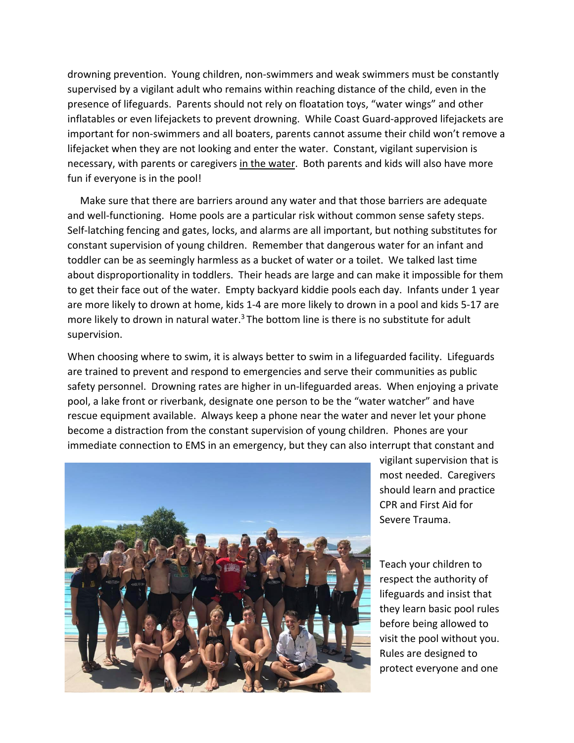drowning prevention. Young children, non-swimmers and weak swimmers must be constantly supervised by a vigilant adult who remains within reaching distance of the child, even in the presence of lifeguards. Parents should not rely on floatation toys, "water wings" and other inflatables or even lifejackets to prevent drowning. While Coast Guard-approved lifejackets are important for non-swimmers and all boaters, parents cannot assume their child won't remove a lifejacket when they are not looking and enter the water. Constant, vigilant supervision is necessary, with parents or caregivers in the water. Both parents and kids will also have more fun if everyone is in the pool!

 Make sure that there are barriers around any water and that those barriers are adequate and well-functioning. Home pools are a particular risk without common sense safety steps. Self-latching fencing and gates, locks, and alarms are all important, but nothing substitutes for constant supervision of young children. Remember that dangerous water for an infant and toddler can be as seemingly harmless as a bucket of water or a toilet. We talked last time about disproportionality in toddlers. Their heads are large and can make it impossible for them to get their face out of the water. Empty backyard kiddie pools each day. Infants under 1 year are more likely to drown at home, kids 1-4 are more likely to drown in a pool and kids 5-17 are more likely to drown in natural water. $3$  The bottom line is there is no substitute for adult supervision.

When choosing where to swim, it is always better to swim in a lifeguarded facility. Lifeguards are trained to prevent and respond to emergencies and serve their communities as public safety personnel. Drowning rates are higher in un-lifeguarded areas. When enjoying a private pool, a lake front or riverbank, designate one person to be the "water watcher" and have rescue equipment available. Always keep a phone near the water and never let your phone become a distraction from the constant supervision of young children. Phones are your immediate connection to EMS in an emergency, but they can also interrupt that constant and



vigilant supervision that is most needed. Caregivers should learn and practice CPR and First Aid for Severe Trauma.

Teach your children to respect the authority of lifeguards and insist that they learn basic pool rules before being allowed to visit the pool without you. Rules are designed to protect everyone and one